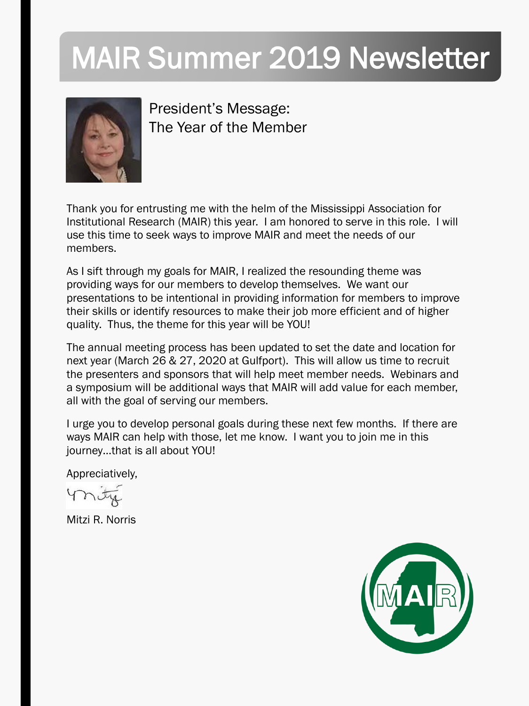# MAIR Summer 2019 Newsletter



President's Message: The Year of the Member

Thank you for entrusting me with the helm of the Mississippi Association for Institutional Research (MAIR) this year. I am honored to serve in this role. I will use this time to seek ways to improve MAIR and meet the needs of our members.

As I sift through my goals for MAIR, I realized the resounding theme was providing ways for our members to develop themselves. We want our presentations to be intentional in providing information for members to improve their skills or identify resources to make their job more efficient and of higher quality. Thus, the theme for this year will be YOU!

The annual meeting process has been updated to set the date and location for next year (March 26 & 27, 2020 at Gulfport). This will allow us time to recruit the presenters and sponsors that will help meet member needs. Webinars and a symposium will be additional ways that MAIR will add value for each member, all with the goal of serving our members.

I urge you to develop personal goals during these next few months. If there are ways MAIR can help with those, let me know. I want you to join me in this journey…that is all about YOU!

Appreciatively,

Mitzi R. Norris

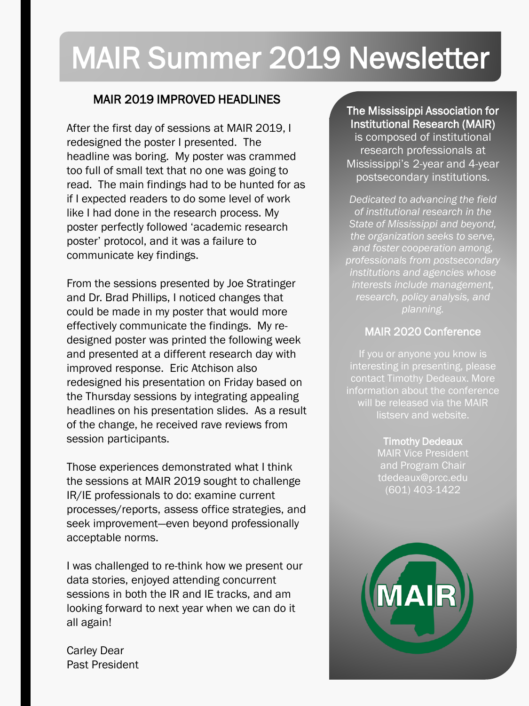# MAIR Summer 2019 Newsletter

#### MAIR 2019 IMPROVED HEADLINES

After the first day of sessions at MAIR 2019, I redesigned the poster I presented. The headline was boring. My poster was crammed too full of small text that no one was going to read. The main findings had to be hunted for as if I expected readers to do some level of work like I had done in the research process. My poster perfectly followed 'academic research poster' protocol, and it was a failure to communicate key findings.

From the sessions presented by Joe Stratinger and Dr. Brad Phillips, I noticed changes that could be made in my poster that would more effectively communicate the findings. My redesigned poster was printed the following week and presented at a different research day with improved response. Eric Atchison also redesigned his presentation on Friday based on the Thursday sessions by integrating appealing headlines on his presentation slides. As a result of the change, he received rave reviews from session participants.

Those experiences demonstrated what I think the sessions at MAIR 2019 sought to challenge IR/IE professionals to do: examine current processes/reports, assess office strategies, and seek improvement—even beyond professionally acceptable norms.

I was challenged to re-think how we present our data stories, enjoyed attending concurrent sessions in both the IR and IE tracks, and am looking forward to next year when we can do it all again!

Carley Dear Past President

#### The Mississippi Association for Institutional Research (MAIR)

is composed of institutional research professionals at Mississippi's 2-year and 4-year postsecondary institutions.

*Dedicated to advancing the field of institutional research in the State of Mississippi and beyond, the organization seeks to serve, and foster cooperation among, professionals from postsecondary institutions and agencies whose interests include management, research, policy analysis, and planning.*

#### MAIR 2020 Conference

interesting in presenting, please contact Timothy Dedeaux. More information about the conference will be released via the MAIR

> Timothy Dedeaux MAIR Vice President and Program Chair tdedeaux@prcc.edu (601) 403-1422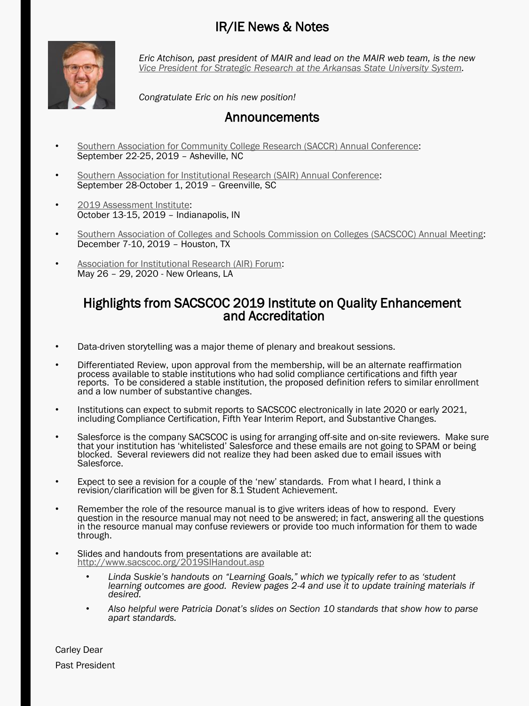#### IR/IE News & Notes



*Eric Atchison, past president of MAIR and lead on the MAIR web team, is the new [Vice President for Strategic Research at the Arkansas State University System](https://www.astate.edu/news/eric-atchison-joins-asu-system-as-vice-president-for-strategic-research).*

*Congratulate Eric on his new position!*

#### Announcements

- [Southern Association for Community College Research \(SACCR\) Annual Conference](http://saccresearch.org/conference-registration-2019/): September 22-25, 2019 – Asheville, NC
- [Southern Association for Institutional Research \(SAIR\) Annual Conference](http://saccresearch.org/conference-registration-2019/): September 28-October 1, 2019 – Greenville, SC
- [2019 Assessment Institute](http://assessmentinstitute.iupui.edu/): October 13-15, 2019 – Indianapolis, IN
- [Southern Association of Colleges and Schools Commission on Colleges \(SACSCOC\) Annual Meeting:](http://www.sacscoc.org/aamain.asp) December 7-10, 2019 – Houston, TX
- [Association for Institutional Research \(AIR\) Forum:](https://www.airweb.org/forum/2020) May 26 – 29, 2020 - New Orleans, LA

#### Highlights from SACSCOC 2019 Institute on Quality Enhancement and Accreditation

- Data-driven storytelling was a major theme of plenary and breakout sessions.
- Differentiated Review, upon approval from the membership, will be an alternate reaffirmation process available to stable institutions who had solid compliance certifications and fifth year reports. To be considered a stable institution, the proposed definition refers to similar enrollment and a low number of substantive changes.
- Institutions can expect to submit reports to SACSCOC electronically in late 2020 or early 2021, including Compliance Certification, Fifth Year Interim Report, and Substantive Changes.
- Salesforce is the company SACSCOC is using for arranging off-site and on-site reviewers. Make sure that your institution has 'whitelisted' Salesforce and these emails are not going to SPAM or being blocked. Several reviewers did not realize they had been asked due to email issues with Salesforce.
- Expect to see a revision for a couple of the 'new' standards. From what I heard, I think a revision/clarification will be given for 8.1 Student Achievement.
- Remember the role of the resource manual is to give writers ideas of how to respond. Every question in the resource manual may not need to be answered; in fact, answering all the questions in the resource manual may confuse reviewers or provide too much information for them to wade through.
- Slides and handouts from presentations are available at: <http://www.sacscoc.org/2019SIHandout.asp>
	- *Linda Suskie's handouts on "Learning Goals," which we typically refer to as 'student learning outcomes are good. Review pages 2-4 and use it to update training materials if desired.*
	- *Also helpful were Patricia Donat's slides on Section 10 standards that show how to parse apart standards.*

Carley Dear Past President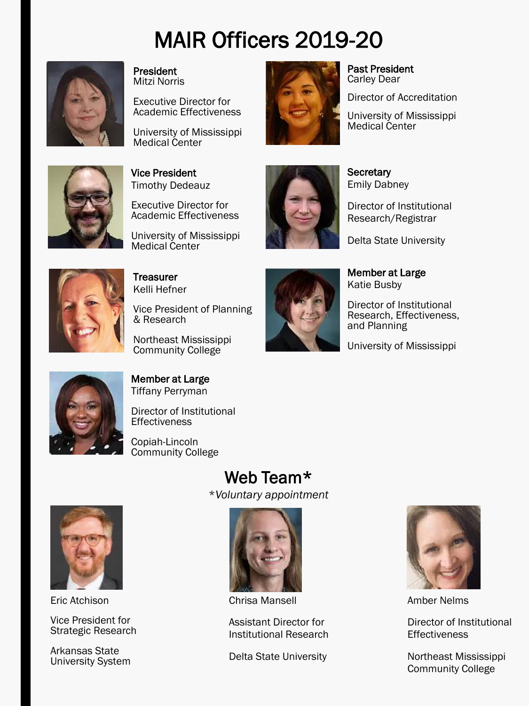## MAIR Officers 2019-20



President Mitzi Norris

Executive Director for Academic Effectiveness

University of Mississippi Medical Center



#### Past President Carley Dear

Director of Accreditation

University of Mississippi Medical Center



Vice President Timothy Dedeauz

Executive Director for Academic Effectiveness

University of Mississippi Medical Center



**Secretary** Emily Dabney

Director of Institutional Research/Registrar

Delta State University



**Treasurer** Kelli Hefner

Vice President of Planning & Research

Northeast Mississippi Community College



Member at Large Katie Busby

Director of Institutional Research, Effectiveness, and Planning

University of Mississippi



#### Member at Large Tiffany Perryman

Director of Institutional **Effectiveness** 

Copiah-Lincoln Community College

### Web Team\*

\**Voluntary appointment*



Eric Atchison

Vice President for Strategic Research

Arkansas State University System



Chrisa Mansell

Assistant Director for Institutional Research

Delta State University



Amber Nelms

Director of Institutional **Effectiveness** 

Northeast Mississippi Community College